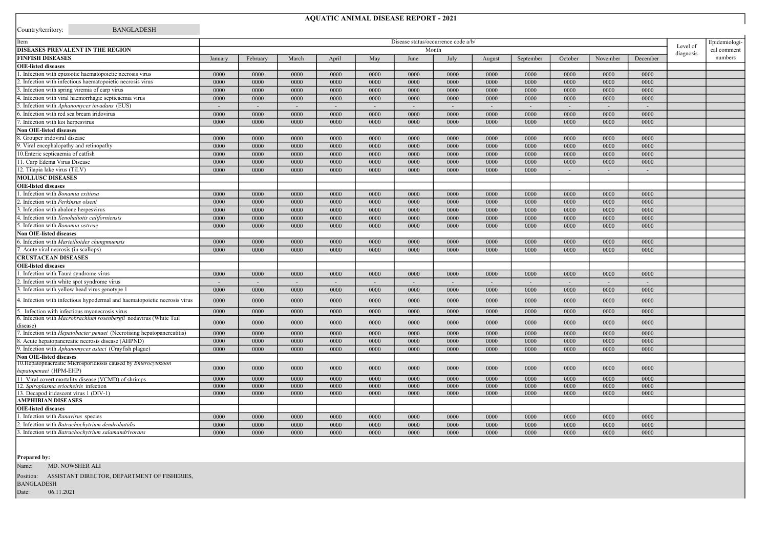## AQUATIC ANIMAL DISEASE REPORT - 2021

| Item                                                                                    |                                              |          |        |        |        |        |        |                |                |         |                          |                |             | Epidemiologi- |
|-----------------------------------------------------------------------------------------|----------------------------------------------|----------|--------|--------|--------|--------|--------|----------------|----------------|---------|--------------------------|----------------|-------------|---------------|
| DISEASES PREVALENT IN THE REGION                                                        | Disease status/occurrence code a/b/<br>Month |          |        |        |        |        |        |                |                |         |                          | Level of       | cal comment |               |
| <b>FINFISH DISEASES</b>                                                                 | January                                      | February | March  | April  | May    | June   | July   | August         | September      | October | November                 | December       | diagnosis   | numbers       |
| <b>OIE-listed diseases</b>                                                              |                                              |          |        |        |        |        |        |                |                |         |                          |                |             |               |
| 1. Infection with epizootic haematopoietic necrosis virus                               | 0000                                         | 0000     | 0000   | 0000   | 0000   | 0000   | 0000   | 0000           | 0000           | 0000    | 0000                     | 0000           |             |               |
| 2. Infection with infectious haematopoietic necrosis virus                              | 0000                                         | 0000     | 0000   | 0000   | 0000   | 0000   | 0000   | 0000           | 0000           | 0000    | 0000                     | 0000           |             |               |
| 3. Infection with spring viremia of carp virus                                          | 0000                                         | 0000     | 0000   | 0000   | 0000   | 0000   | 0000   | 0000           | 0000           | 0000    | 0000                     | 0000           |             |               |
| 4. Infection with viral haemorrhagic septicaemia virus                                  | 0000                                         | 0000     | 0000   | 0000   | 0000   | 0000   | 0000   | 0000           | 0000           | 0000    | 0000                     | 0000           |             |               |
| 5. Infection with Aphanomyces invadans (EUS)                                            | $\sim$                                       | $\sim$   | $\sim$ | $\sim$ | $\sim$ | $\sim$ | $\sim$ | $\sim$         | $\sim$         | $\sim$  | $\sim$                   | ÷.             |             |               |
| 6. Infection with red sea bream iridovirus                                              | 0000                                         | 0000     | 0000   | 0000   | 0000   | 0000   | 0000   | 0000           | 0000           | 0000    | 0000                     | 0000           |             |               |
| 7. Infection with koi herpesvirus                                                       | 0000                                         | 0000     | 0000   | 0000   | 0000   | 0000   | 0000   | 0000           | 0000           | 0000    | 0000                     | 0000           |             |               |
| <b>Non OIE-listed diseases</b>                                                          |                                              |          |        |        |        |        |        |                |                |         |                          |                |             |               |
| 8. Grouper iridoviral disease                                                           | 0000                                         | 0000     | 0000   | 0000   | 0000   | 0000   | 0000   | 0000           | 0000           | 0000    | 0000                     | 0000           |             |               |
| 9. Viral encephalopathy and retinopathy                                                 | 0000                                         | 0000     | 0000   | 0000   | 0000   | 0000   | 0000   | 0000           | 0000           | 0000    | 0000                     | 0000           |             |               |
| 10. Enteric septicaemia of catfish                                                      | 0000                                         | 0000     | 0000   | 0000   | 0000   | 0000   | 0000   | 0000           | 0000           | 0000    | 0000                     | 0000           |             |               |
| 11. Carp Edema Virus Disease                                                            | 0000                                         | 0000     | 0000   | 0000   | 0000   | 0000   | 0000   | 0000           | 0000           | 0000    | 0000                     | 0000           |             |               |
| 12. Tilapia lake virus (TiLV)                                                           | 0000                                         | 0000     | 0000   | 0000   | 0000   | 0000   | 0000   | 0000           | 0000           | $\sim$  | $\overline{\phantom{a}}$ | $\sim$         |             |               |
| <b>MOLLUSC DISEASES</b>                                                                 |                                              |          |        |        |        |        |        |                |                |         |                          |                |             |               |
| <b>OIE-listed diseases</b>                                                              |                                              |          |        |        |        |        |        |                |                |         |                          |                |             |               |
| 1. Infection with Bonamia exitiosa                                                      | 0000                                         | 0000     | 0000   | 0000   | 0000   | 0000   | 0000   | 0000           | 0000           | 0000    | 0000                     | 0000           |             |               |
| 2. Infection with Perkinsus olseni                                                      | 0000                                         | 0000     | 0000   | 0000   | 0000   | 0000   | 0000   | 0000           | 0000           | 0000    | 0000                     | 0000           |             |               |
| 3. Infection with abalone herpesvirus                                                   | 0000                                         | 0000     | 0000   | 0000   | 0000   | 0000   | 0000   | 0000           | 0000           | 0000    | 0000                     | 0000           |             |               |
| 4. Infection with Xenohaliotis californiensis                                           | 0000                                         | 0000     | 0000   | 0000   | 0000   | 0000   | 0000   | 0000           | 0000           | 0000    | 0000                     | 0000           |             |               |
| 5. Infection with Bonamia ostreae                                                       | 0000                                         | 0000     | 0000   | 0000   | 0000   | 0000   | 0000   | 0000           | 0000           | 0000    | 0000                     | 0000           |             |               |
| <b>Non OIE-listed diseases</b>                                                          |                                              |          |        |        |        |        |        |                |                |         |                          |                |             |               |
| 6. Infection with Marteilioides chungmuensis                                            | 0000                                         | 0000     | 0000   | 0000   | 0000   | 0000   | 0000   | 0000           | 0000           | 0000    | 0000                     | 0000           |             |               |
| 7. Acute viral necrosis (in scallops)                                                   | 0000                                         | 0000     | 0000   | 0000   | 0000   | 0000   | 0000   | 0000           | 0000           | 0000    | 0000                     | 0000           |             |               |
| <b>CRUSTACEAN DISEASES</b>                                                              |                                              |          |        |        |        |        |        |                |                |         |                          |                |             |               |
| <b>OIE-listed diseases</b>                                                              |                                              |          |        |        |        |        |        |                |                |         |                          |                |             |               |
| 1. Infection with Taura syndrome virus                                                  | 0000                                         | 0000     | 0000   | 0000   | 0000   | 0000   | 0000   | 0000           | 0000           | 0000    | 0000                     | 0000           |             |               |
| 2. Infection with white spot syndrome virus                                             | $\sim$                                       | $\sim$   | $\sim$ | $\sim$ | $\sim$ | $\sim$ | $\sim$ | $\overline{a}$ | $\overline{a}$ | $\sim$  | $\sim$                   |                |             |               |
| 3. Infection with yellow head virus genotype 1                                          |                                              |          |        |        |        |        | 0000   | 0000           | 0000           | 0000    | 0000                     | $\sim$<br>0000 |             |               |
|                                                                                         | 0000                                         | 0000     | 0000   | 0000   | 0000   | 0000   |        |                |                |         |                          |                |             |               |
| 4. Infection with infectious hypodermal and haematopoietic necrosis virus               | 0000                                         | 0000     | 0000   | 0000   | 0000   | 0000   | 0000   | 0000           | 0000           | 0000    | 0000                     | 0000           |             |               |
| 5. Infection with infectious myonecrosis virus                                          | 0000                                         | 0000     | 0000   | 0000   | 0000   | 0000   | 0000   | 0000           | 0000           | 0000    | 0000                     | 0000           |             |               |
| 6. Infection with Macrobrachium rosenbergii nodavirus (White Tail<br>disease)           | 0000                                         | 0000     | 0000   | 0000   | 0000   | 0000   | 0000   | 0000           | 0000           | 0000    | 0000                     | 0000           |             |               |
| 7. Infection with <i>Hepatobacter penaei</i> (Necrotising hepatopancreatitis)           | 0000                                         | 0000     | 0000   | 0000   | 0000   | 0000   | 0000   | 0000           | 0000           | 0000    | 0000                     | 0000           |             |               |
| 8. Acute hepatopancreatic necrosis disease (AHPND)                                      | 0000                                         | 0000     | 0000   | 0000   | 0000   | 0000   | 0000   | 0000           | 0000           | 0000    | 0000                     | 0000           |             |               |
| 9. Infection with Aphanomyces astaci (Crayfish plague)                                  | 0000                                         | 0000     | 0000   | 0000   | 0000   | 0000   | 0000   | 0000           | 0000           | 0000    | 0000                     | 0000           |             |               |
| <b>Non OIE-listed diseases</b>                                                          |                                              |          |        |        |        |        |        |                |                |         |                          |                |             |               |
| 10. Hepatopnacreatic Microsporidiosis caused by Enterocytozoon                          |                                              |          |        |        |        |        |        |                |                |         |                          |                |             |               |
| hepatopenaei (HPM-EHP)                                                                  | 0000                                         | 0000     | 0000   | 0000   | 0000   | 0000   | 0000   | 0000           | 0000           | 0000    | 0000                     | 0000           |             |               |
| 11. Viral covert mortality disease (VCMD) of shrimps                                    | 0000                                         | 0000     | 0000   | 0000   | 0000   | 0000   | 0000   | 0000           | 0000           | 0000    | 0000                     | 0000           |             |               |
| 12. Spiroplasma eriocheiris infection                                                   | 0000                                         | 0000     | 0000   | 0000   | 0000   | 0000   | 0000   | 0000           | 0000           | 0000    | 0000                     | 0000           |             |               |
| 13. Decapod iridescent virus 1 (DIV-1)                                                  | 0000                                         | 0000     | 0000   | 0000   | 0000   | 0000   | 0000   | 0000           | 0000           | 0000    | 0000                     | 0000           |             |               |
| <b>AMPHIBIAN DISEASES</b><br><b>OIE-listed diseases</b>                                 |                                              |          |        |        |        |        |        |                |                |         |                          |                |             |               |
|                                                                                         | 0000                                         | 0000     |        |        |        | 0000   | 0000   | 0000           | 0000           | 0000    | 0000                     | 0000           |             |               |
| 1. Infection with Ranavirus species<br>2. Infection with Batrachochytrium dendrobatidis |                                              |          | 0000   | 0000   | 0000   |        |        |                |                |         |                          |                |             |               |
|                                                                                         | 0000                                         | 0000     | 0000   | 0000   | 0000   | 0000   | 0000   | 0000           | 0000           | 0000    | 0000                     | 0000           |             |               |
| 3. Infection with Batrachochytrium salamandrivorans                                     | 0000                                         | 0000     | 0000   | 0000   | 0000   | 0000   | 0000   | 0000           | 0000           | 0000    | 0000                     | 0000           |             |               |

Prepared by:

Name: MD. NOWSHER ALI

Date: 06.11.2021 Position: ASSISTANT DIRECTOR, DEPARTMENT OF FISHERIES, BANGLADESH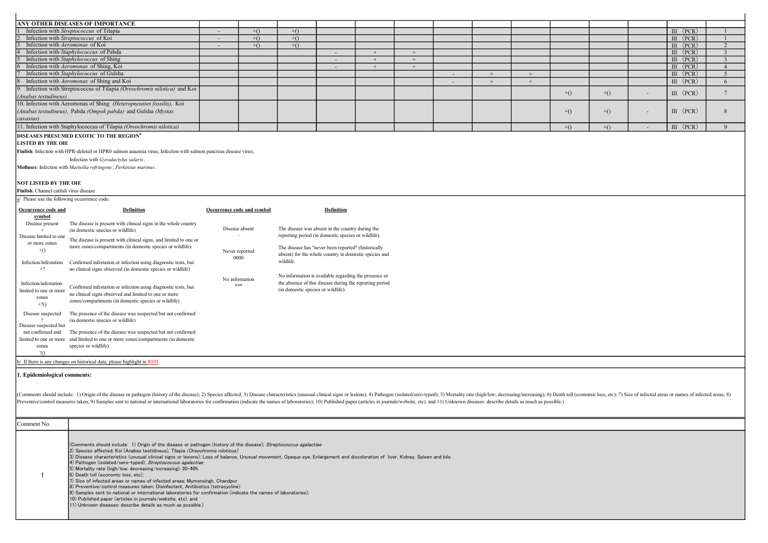| ANY OTHER DISEASES OF IMPORTANCE                                                                                |                            |       |                                    |                                                         |     |     |        |     |     |       |       |        |              |                         |
|-----------------------------------------------------------------------------------------------------------------|----------------------------|-------|------------------------------------|---------------------------------------------------------|-----|-----|--------|-----|-----|-------|-------|--------|--------------|-------------------------|
| Infection with Streptococcus of Tilapia                                                                         |                            | $+()$ | $+()$                              |                                                         |     |     |        |     |     |       |       |        | $III$ (PCR)  |                         |
| Infection with Streptococcus of Koi                                                                             | $\sim$                     | $+()$ | $+()$                              |                                                         |     |     |        |     |     |       |       |        | $III$ (PCR)  |                         |
| Infection with Aeromonas of Koi                                                                                 | $\sim$                     | $+()$ | $+()$                              |                                                         |     |     |        |     |     |       |       |        | $III$ (PCR)  | $\overline{2}$          |
| Infection with Staphylococcus of Pabda                                                                          |                            |       |                                    |                                                         |     |     |        |     |     |       |       |        | III<br>(PCR) | $\overline{\mathbf{3}}$ |
| Infection with Staphylococcus of Shing                                                                          |                            |       |                                    |                                                         | $+$ | $+$ |        |     |     |       |       |        | $III$ (PCR)  | 3                       |
| Infection with Aeromonas of Shing, Koi                                                                          |                            |       |                                    |                                                         | $+$ | $+$ |        |     |     |       |       |        | $III$ (PCR)  | $\overline{4}$          |
| Infection with Staphylococcus of Gulsha                                                                         |                            |       |                                    |                                                         |     |     | $\sim$ | $+$ | $+$ |       |       |        | $III$ (PCR)  | 5                       |
| Infection with Aeromonas of Shing and Koi                                                                       |                            |       |                                    |                                                         |     |     |        | $+$ | $+$ |       |       |        | $III$ (PCR)  | 6                       |
| Infection with Streptococcus of Tilapia (Oreochromis nilotica) and Koi                                          |                            |       |                                    |                                                         |     |     |        |     |     | $+()$ | $+()$ |        | $III$ (PCR)  | $7\phantom{.0}$         |
| (Anabas testudineus).                                                                                           |                            |       |                                    |                                                         |     |     |        |     |     |       |       |        |              |                         |
| 10. Infection with Aeromonas of Shing (Heteropneustes fossilis), Koi                                            |                            |       |                                    |                                                         |     |     |        |     |     |       |       |        |              |                         |
| (Anabas testudineus), Pabda (Ompok pabda) and Gulsha (Mystas                                                    |                            |       |                                    |                                                         |     |     |        |     |     | $+()$ | $+()$ |        | $III$ (PCR)  | 8                       |
| cavasius)                                                                                                       |                            |       |                                    |                                                         |     |     |        |     |     |       |       |        |              |                         |
| 11. Infection with Staphylococcus of Tilapia (Oreochromis nilotica)                                             |                            |       |                                    |                                                         |     |     |        |     |     | $+()$ | $+()$ | $\sim$ | $III$ (PCR)  | 9                       |
| DISEASES PRESUMED EXOTIC TO THE REGION <sup>b</sup>                                                             |                            |       |                                    |                                                         |     |     |        |     |     |       |       |        |              |                         |
| <b>LISTED BY THE OIE</b>                                                                                        |                            |       |                                    |                                                         |     |     |        |     |     |       |       |        |              |                         |
|                                                                                                                 |                            |       |                                    |                                                         |     |     |        |     |     |       |       |        |              |                         |
| Finfish: Infection with HPR-deleted or HPR0 salmon anaemia virus; Infection with salmon pancreas disease virus; |                            |       |                                    |                                                         |     |     |        |     |     |       |       |        |              |                         |
| Infection with Gyrodactylus salaris.                                                                            |                            |       |                                    |                                                         |     |     |        |     |     |       |       |        |              |                         |
| Molluses: Infection with Marteilia refringens; Perkinsus marinus.                                               |                            |       |                                    |                                                         |     |     |        |     |     |       |       |        |              |                         |
|                                                                                                                 |                            |       |                                    |                                                         |     |     |        |     |     |       |       |        |              |                         |
| <b>NOT LISTED BY THE OIE</b>                                                                                    |                            |       |                                    |                                                         |     |     |        |     |     |       |       |        |              |                         |
|                                                                                                                 |                            |       |                                    |                                                         |     |     |        |     |     |       |       |        |              |                         |
| Finfish: Channel catfish virus disease                                                                          |                            |       |                                    |                                                         |     |     |        |     |     |       |       |        |              |                         |
| a/ Please use the following occurrence code:                                                                    |                            |       |                                    |                                                         |     |     |        |     |     |       |       |        |              |                         |
|                                                                                                                 |                            |       |                                    |                                                         |     |     |        |     |     |       |       |        |              |                         |
| Occurrence code and<br><b>Definition</b>                                                                        | Occurrence code and symbol |       |                                    | Definition                                              |     |     |        |     |     |       |       |        |              |                         |
| symbol                                                                                                          |                            |       |                                    |                                                         |     |     |        |     |     |       |       |        |              |                         |
| The disease is present with clinical signs in the whole country<br>Disease present                              | Disease absent             |       |                                    |                                                         |     |     |        |     |     |       |       |        |              |                         |
| (in domestic species or wildlife)                                                                               |                            |       |                                    | The disease was absent in the country during the        |     |     |        |     |     |       |       |        |              |                         |
| Disease limited to one<br>The disease is present with clinical signs, and limited to one or                     |                            |       |                                    | reporting period (in domestic species or wildlife).     |     |     |        |     |     |       |       |        |              |                         |
| or more zones<br>more zones/compartments (in domestic species or wildlife)                                      |                            |       |                                    | The disease has "never been reported" (historically     |     |     |        |     |     |       |       |        |              |                         |
| $+()$                                                                                                           | Never reported             |       |                                    | absent) for the whole country in domestic species and   |     |     |        |     |     |       |       |        |              |                         |
| Infection/infestation<br>Confirmed infestation or infection using diagnostic tests, but                         | 0000                       |       | wildlife.                          |                                                         |     |     |        |     |     |       |       |        |              |                         |
| no clinical signs observed (in domestic species or wildlife)<br>$+2$                                            |                            |       |                                    |                                                         |     |     |        |     |     |       |       |        |              |                         |
|                                                                                                                 |                            |       |                                    | No information is available regarding the presence or   |     |     |        |     |     |       |       |        |              |                         |
| Infection/infestation                                                                                           | No information<br>***      |       |                                    | the absence of this disease during the reporting period |     |     |        |     |     |       |       |        |              |                         |
| Confirmed infestation or infection using diagnostic tests, but<br>limited to one or more                        |                            |       | (in domestic species or wildlife). |                                                         |     |     |        |     |     |       |       |        |              |                         |
| no clinical signs observed and limited to one or more                                                           |                            |       |                                    |                                                         |     |     |        |     |     |       |       |        |              |                         |
| zones<br>zones/compartments (in domestic species or wildlife)                                                   |                            |       |                                    |                                                         |     |     |        |     |     |       |       |        |              |                         |
| $+20$                                                                                                           |                            |       |                                    |                                                         |     |     |        |     |     |       |       |        |              |                         |
| The presence of the disease was suspected but not confirmed<br>Disease suspected                                |                            |       |                                    |                                                         |     |     |        |     |     |       |       |        |              |                         |
| (in domestic species or wildlife)                                                                               |                            |       |                                    |                                                         |     |     |        |     |     |       |       |        |              |                         |
| Disease suspected but<br>not confirmed and                                                                      |                            |       |                                    |                                                         |     |     |        |     |     |       |       |        |              |                         |
| The presence of the disease was suspected but not confirmed<br>limited to one or more                           |                            |       |                                    |                                                         |     |     |        |     |     |       |       |        |              |                         |
| and limited to one or more zones/compartments (in domestic                                                      |                            |       |                                    |                                                         |     |     |        |     |     |       |       |        |              |                         |
| species or wildlife)<br>zones<br>20                                                                             |                            |       |                                    |                                                         |     |     |        |     |     |       |       |        |              |                         |

 $\mathbf{r}$ 

b/ If there is any changes on historical data, please highlight in RED

## 1. Epidemiological comments:

 $\mathbf{r}$ 

(Comments should include: 1) Origin of the disease or pathogen (history of the disease); 2) Species affected; 3) Disease characteristics (unusual clinical signs or lesions); 4) Pathogen (isolated/rero-typed); 5) Mortality

| Comment No. |                                                                                                                                                                                                                                                                                                                                                                                                                                                                                                                                                                                                                                                                                                                                                                                                                                                                                                                                                                                          |
|-------------|------------------------------------------------------------------------------------------------------------------------------------------------------------------------------------------------------------------------------------------------------------------------------------------------------------------------------------------------------------------------------------------------------------------------------------------------------------------------------------------------------------------------------------------------------------------------------------------------------------------------------------------------------------------------------------------------------------------------------------------------------------------------------------------------------------------------------------------------------------------------------------------------------------------------------------------------------------------------------------------|
|             | (Comments should include: 1) Origin of the disease or pathogen (history of the disease); Streptococcus agalactiae<br>2) Species affected: Koi (Anabas testidineus). Tilapia <i>(Oreochromis niloticus)</i><br>(3) Disease characteristics (unusual clinical signs or lesions); Loss of balance, Unusual movement, Opaque eye, Enlargement and discoloration of liver, Kidney, Spleen and bile.<br>4) Pathogen (isolated/sero-typed); Streptococcus agalactiae<br>5) Mortality rate (high/low: decreasing/increasing): 30-40%<br>6) Death toll (economic loss, etc);<br>7) Size of infected areas or names of infected areas; Mymensingh, Chandpur<br>8) Preventive/control measures taken: Disinfectant, Anitibiotics (tetracycline)<br>9) Samples sent to national or international laboratories for confirmation (indicate the names of laboratories);<br>10) Published paper (articles in journals/website, etc). and<br>11) Unknown diseases: describe details as much as possible.) |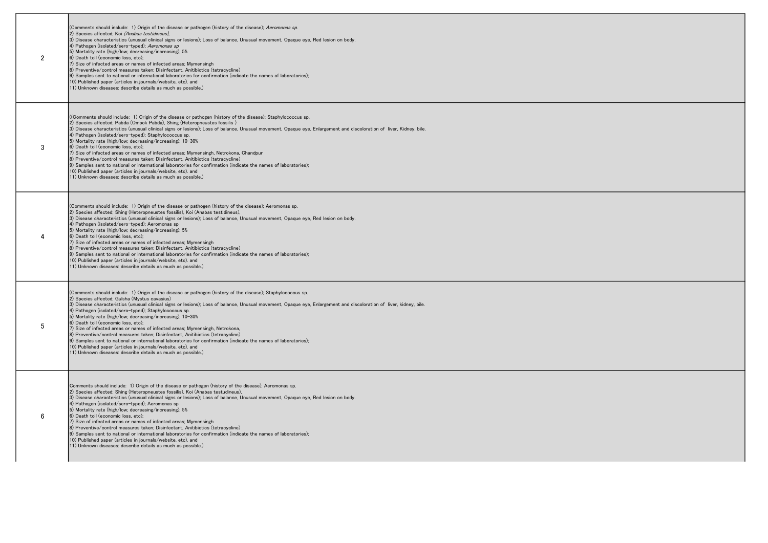| $\overline{2}$ | (Comments should include: 1) Origin of the disease or pathogen (history of the disease); Aeromonas sp.<br>2) Species affected; Koi (Anabas testidineus),<br>3) Disease characteristics (unusual clinical signs or lesions); Loss of balance, Unusual movement, Opaque eye, Red lesion on body.<br>4) Pathogen (isolated/sero-typed); Aeromonas sp<br>5) Mortality rate (high/low; decreasing/increasing); 5%<br>6) Death toll (economic loss, etc);<br>7) Size of infected areas or names of infected areas; Mymensingh<br>8) Preventive/control measures taken: Disinfectant, Anitibiotics (tetracycline)<br>9) Samples sent to national or international laboratories for confirmation (indicate the names of laboratories);<br>10) Published paper (articles in journals/website, etc). and<br>11) Unknown diseases: describe details as much as possible.)                                                                                                   |
|----------------|------------------------------------------------------------------------------------------------------------------------------------------------------------------------------------------------------------------------------------------------------------------------------------------------------------------------------------------------------------------------------------------------------------------------------------------------------------------------------------------------------------------------------------------------------------------------------------------------------------------------------------------------------------------------------------------------------------------------------------------------------------------------------------------------------------------------------------------------------------------------------------------------------------------------------------------------------------------|
| 3              | ((Comments should include: 1) Origin of the disease or pathogen (history of the disease): Staphylococcus sp.<br>2) Species affected; Pabda (Ompok Pabda), Shing (Heteropneustes fossilis)<br>3) Disease characteristics (unusual clinical signs or lesions); Loss of balance, Unusual movement, Opaque eye, Enlargement and discoloration of liver, Kidney, bile.<br>4) Pathogen (isolated/sero-typed); Staphylococcus sp.<br>5) Mortality rate (high/low; decreasing/increasing); 10-30%<br>6) Death toll (economic loss, etc);<br>7) Size of infected areas or names of infected areas; Mymensingh, Netrokona, Chandpur<br>8) Preventive/control measures taken; Disinfectant, Anitibiotics (tetracycline)<br>9) Samples sent to national or international laboratories for confirmation (indicate the names of laboratories):<br>10) Published paper (articles in journals/website, etc). and<br>11) Unknown diseases: describe details as much as possible.) |
| 4              | (Comments should include: 1) Origin of the disease or pathogen (history of the disease); Aeromonas sp.<br>2) Species affected: Shing (Heteropneustes fossilis), Koi (Anabas testidineus),<br>3) Disease characteristics (unusual clinical signs or lesions); Loss of balance, Unusual movement, Opaque eye, Red lesion on body.<br>4) Pathogen (isolated/sero-typed); Aeromonas sp<br>5) Mortality rate (high/low; decreasing/increasing); 5%<br>6) Death toll (economic loss, etc);<br>7) Size of infected areas or names of infected areas: Mymensingh<br>8) Preventive/control measures taken; Disinfectant, Anitibiotics (tetracycline)<br>9) Samples sent to national or international laboratories for confirmation (indicate the names of laboratories);<br>10) Published paper (articles in journals/website, etc). and<br>11) Unknown diseases: describe details as much as possible.)                                                                  |
| 5              | (Comments should include: 1) Origin of the disease or pathogen (history of the disease); Staphylococcus sp.<br>2) Species affected; Gulsha (Mystus cavasius)<br>3) Disease characteristics (unusual clinical signs or lesions); Loss of balance, Unusual movement, Opaque eye, Enlargement and discoloration of liver, kidney, bile.<br>4) Pathogen (isolated/sero-typed); Staphylococcus sp.<br>5) Mortality rate (high/low; decreasing/increasing); 10-30%<br>6) Death toll (economic loss, etc);<br>7) Size of infected areas or names of infected areas; Mymensingh, Netrokona,<br>8) Preventive/control measures taken; Disinfectant, Anitibiotics (tetracycline)<br>9) Samples sent to national or international laboratories for confirmation (indicate the names of laboratories);<br>10) Published paper (articles in journals/website, etc). and<br>11) Unknown diseases: describe details as much as possible.)                                       |
| 6              | Comments should include: 1) Origin of the disease or pathogen (history of the disease); Aeromonas sp.<br>2) Species affected; Shing (Heteropneustes fossilis), Koi (Anabas testudineus),<br>3) Disease characteristics (unusual clinical signs or lesions); Loss of balance, Unusual movement, Opaque eye, Red lesion on body.<br>4) Pathogen (isolated/sero-typed); Aeromonas sp<br>5) Mortality rate (high/low; decreasing/increasing); 5%<br>6) Death toll (economic loss, etc);<br>7) Size of infected areas or names of infected areas: Mymensingh<br>8) Preventive/control measures taken; Disinfectant, Anitibiotics (tetracycline)<br>9) Samples sent to national or international laboratories for confirmation (indicate the names of laboratories);<br>10) Published paper (articles in journals/website, etc). and<br>11) Unknown diseases: describe details as much as possible.)                                                                   |